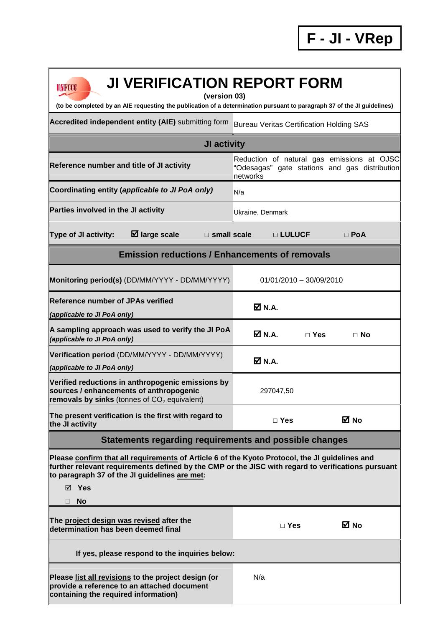٦

| <b>JI VERIFICATION REPORT FORM</b><br>UNFCCC                                                                                                                                                                                                                                |                                                                                                         |  |  |  |
|-----------------------------------------------------------------------------------------------------------------------------------------------------------------------------------------------------------------------------------------------------------------------------|---------------------------------------------------------------------------------------------------------|--|--|--|
| (version 03)<br>(to be completed by an AIE requesting the publication of a determination pursuant to paragraph 37 of the JI guidelines)                                                                                                                                     |                                                                                                         |  |  |  |
| Accredited independent entity (AIE) submitting form                                                                                                                                                                                                                         | <b>Bureau Veritas Certification Holding SAS</b>                                                         |  |  |  |
| JI activity                                                                                                                                                                                                                                                                 |                                                                                                         |  |  |  |
| Reference number and title of JI activity                                                                                                                                                                                                                                   | Reduction of natural gas emissions at OJSC<br>"Odesagas" gate stations and gas distribution<br>networks |  |  |  |
| Coordinating entity (applicable to JI PoA only)                                                                                                                                                                                                                             | N/a                                                                                                     |  |  |  |
| Parties involved in the JI activity                                                                                                                                                                                                                                         | Ukraine, Denmark                                                                                        |  |  |  |
| $\boxtimes$ large scale<br>Type of JI activity:<br>$\Box$ small scale                                                                                                                                                                                                       | □ LULUCF<br>$\Box$ PoA                                                                                  |  |  |  |
| <b>Emission reductions / Enhancements of removals</b>                                                                                                                                                                                                                       |                                                                                                         |  |  |  |
| Monitoring period(s) (DD/MM/YYYY - DD/MM/YYYY)                                                                                                                                                                                                                              | $01/01/2010 - 30/09/2010$                                                                               |  |  |  |
| <b>Reference number of JPAs verified</b><br>(applicable to JI PoA only)                                                                                                                                                                                                     | $\boxtimes$ N.A.                                                                                        |  |  |  |
| A sampling approach was used to verify the JI PoA<br>(applicable to JI PoA only)                                                                                                                                                                                            | $\boxtimes$ N.A.<br>$\Box$ Yes<br>⊟ No                                                                  |  |  |  |
| Verification period (DD/MM/YYYY - DD/MM/YYYY)<br>(applicable to JI PoA only)                                                                                                                                                                                                | $\boxtimes$ N.A.                                                                                        |  |  |  |
| Verified reductions in anthropogenic emissions by<br>sources / enhancements of anthropogenic<br>removals by sinks (tonnes of $CO2$ equivalent)                                                                                                                              | 297047,50                                                                                               |  |  |  |
| The present verification is the first with regard to<br>the JI activity                                                                                                                                                                                                     | ⊠ No<br>$\Box$ Yes                                                                                      |  |  |  |
| Statements regarding requirements and possible changes                                                                                                                                                                                                                      |                                                                                                         |  |  |  |
| Please confirm that all requirements of Article 6 of the Kyoto Protocol, the JI guidelines and<br>further relevant requirements defined by the CMP or the JISC with regard to verifications pursuant<br>to paragraph 37 of the JI guidelines are met:<br>⊠ Yes<br><b>No</b> |                                                                                                         |  |  |  |
| The project design was revised after the<br>determination has been deemed final                                                                                                                                                                                             | ⊠ No<br>$\Box$ Yes                                                                                      |  |  |  |
| If yes, please respond to the inquiries below:                                                                                                                                                                                                                              |                                                                                                         |  |  |  |
| Please list all revisions to the project design (or<br>provide a reference to an attached document<br>containing the required information)                                                                                                                                  | N/a                                                                                                     |  |  |  |

 $\mathsf I$